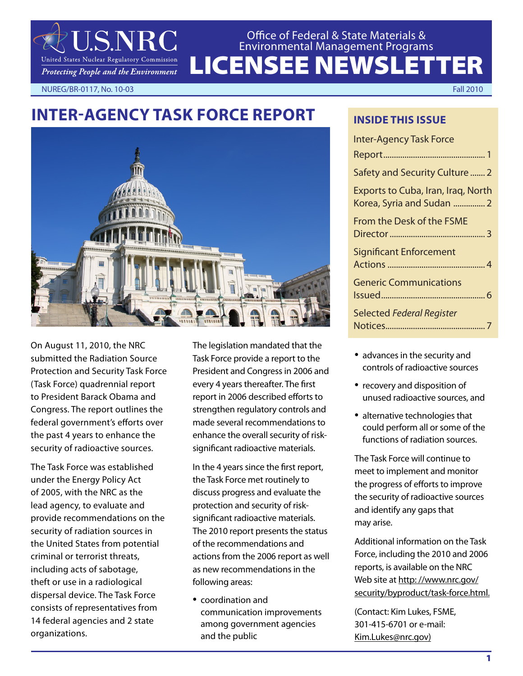

## LICENSEE NEWSLETTER Office of Federal & State Materials & Environmental Management Programs

NUREG/BR-0117, No. 10-03 Fall 2010

# **INTER-AGENCY TASK FORCE REPORT**



On August 11, 2010, the NRC submitted the Radiation Source Protection and Security Task Force (Task Force) quadrennial report to President Barack Obama and Congress. The report outlines the federal government's efforts over the past 4 years to enhance the security of radioactive sources.

The Task Force was established under the Energy Policy Act of 2005, with the NRC as the lead agency, to evaluate and provide recommendations on the security of radiation sources in the United States from potential criminal or terrorist threats, including acts of sabotage, theft or use in a radiological dispersal device. The Task Force consists of representatives from 14 federal agencies and 2 state organizations.

The legislation mandated that the Task Force provide a report to the President and Congress in 2006 and every 4 years thereafter. The first report in 2006 described efforts to strengthen regulatory controls and made several recommendations to enhance the overall security of risksignificant radioactive materials.

In the 4 years since the first report, the Task Force met routinely to discuss progress and evaluate the protection and security of risksignificant radioactive materials. The 2010 report presents the status of the recommendations and actions from the 2006 report as well as new recommendations in the following areas:

• coordination and communication improvements among government agencies and the public

#### **INSIDE THIS ISSUE**

| <b>Inter-Agency Task Force</b>                                  |
|-----------------------------------------------------------------|
|                                                                 |
| Safety and Security Culture  2                                  |
| Exports to Cuba, Iran, Iraq, North<br>Korea, Syria and Sudan  2 |
| From the Desk of the FSME                                       |
| <b>Significant Enforcement</b>                                  |
| <b>Generic Communications</b>                                   |
| <b>Selected Federal Register</b>                                |

- advances in the security and controls of radioactive sources
- recovery and disposition of unused radioactive sources, and
- alternative technologies that could perform all or some of the functions of radiation sources.

The Task Force will continue to meet to implement and monitor the progress of efforts to improve the security of radioactive sources and identify any gaps that may arise.

Additional information on the Task Force, including the 2010 and 2006 reports, is available on the NRC Web site at http: //www.nrc.gov/ security/byproduct/task-force.html.

(Contact: Kim Lukes, FSME, 301-415-6701 or e-mail: Kim.Lukes@nrc.gov)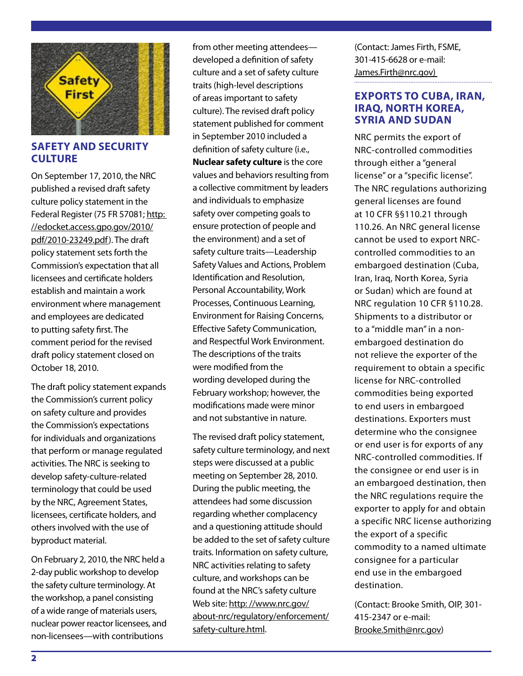

#### **SAFETY AND SECURITY CULTURE**

On September 17, 2010, the NRC published a revised draft safety culture policy statement in the Federal Register (75 FR 57081; http: //edocket.access.gpo.gov/2010/ pdf/2010-23249.pdf). The draft policy statement sets forth the Commission's expectation that all licensees and certificate holders establish and maintain a work environment where management and employees are dedicated to putting safety first. The comment period for the revised draft policy statement closed on October 18, 2010.

The draft policy statement expands the Commission's current policy on safety culture and provides the Commission's expectations for individuals and organizations that perform or manage regulated activities. The NRC is seeking to develop safety-culture-related terminology that could be used by the NRC, Agreement States, licensees, certificate holders, and others involved with the use of byproduct material.

On February 2, 2010, the NRC held a 2-day public workshop to develop the safety culture terminology. At the workshop, a panel consisting of a wide range of materials users, nuclear power reactor licensees, and non-licensees—with contributions

from other meeting attendees developed a definition of safety culture and a set of safety culture traits (high-level descriptions of areas important to safety culture). The revised draft policy statement published for comment in September 2010 included a definition of safety culture (i.e., **Nuclear safety culture** is the core values and behaviors resulting from a collective commitment by leaders and individuals to emphasize safety over competing goals to ensure protection of people and the environment) and a set of safety culture traits—Leadership Safety Values and Actions, Problem Identification and Resolution, Personal Accountability, Work Processes, Continuous Learning, Environment for Raising Concerns, Effective Safety Communication, and Respectful Work Environment. The descriptions of the traits were modified from the wording developed during the February workshop; however, the modifications made were minor and not substantive in nature.

The revised draft policy statement, safety culture terminology, and next steps were discussed at a public meeting on September 28, 2010. During the public meeting, the attendees had some discussion regarding whether complacency and a questioning attitude should be added to the set of safety culture traits. Information on safety culture, NRC activities relating to safety culture, and workshops can be found at the NRC's safety culture Web site: http: //www.nrc.gov/ about-nrc/regulatory/enforcement/ safety-culture.html.

(Contact: James Firth, FSME, 301-415-6628 or e-mail: James.Firth@nrc.gov)

#### **EXPORTS TO CUBA, IRAN, IRAQ, NORTH KOREA, SYRIA AND SUDAN**

NRC permits the export of NRC-controlled commodities through either a "general license" or a "specific license". The NRC regulations authorizing general licenses are found at 10 CFR §§110.21 through 110.26. An NRC general license cannot be used to export NRCcontrolled commodities to an embargoed destination (Cuba, Iran, Iraq, North Korea, Syria or Sudan) which are found at NRC regulation 10 CFR §110.28. Shipments to a distributor or to a "middle man" in a nonembargoed destination do not relieve the exporter of the requirement to obtain a specific license for NRC-controlled commodities being exported to end users in embargoed destinations. Exporters must determine who the consignee or end user is for exports of any NRC-controlled commodities. If the consignee or end user is in an embargoed destination, then the NRC regulations require the exporter to apply for and obtain a specific NRC license authorizing the export of a specific commodity to a named ultimate consignee for a particular end use in the embargoed destination.

(Contact: Brooke Smith, OIP, 301- 415-2347 or e-mail: Brooke.Smith@nrc.gov)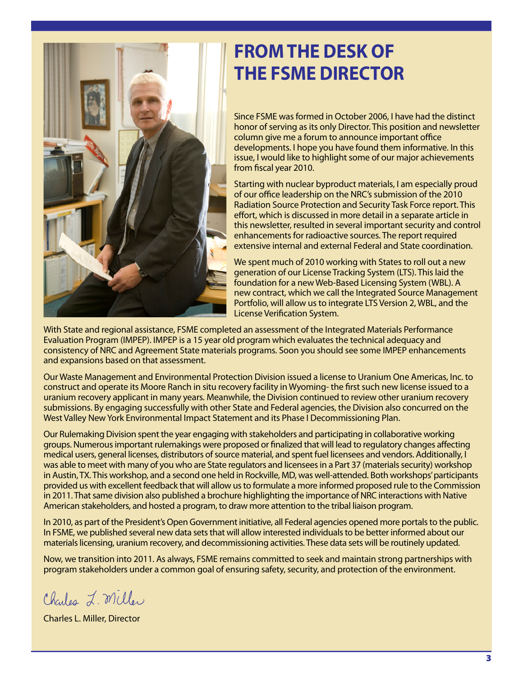

# **FROM THE DESK OF THE FSME DIRECTOR**

Since FSME was formed in October 2006, I have had the distinct honor of serving as its only Director. This position and newsletter column give me a forum to announce important office developments. I hope you have found them informative. In this issue, I would like to highlight some of our major achievements from fiscal year 2010.

Starting with nuclear byproduct materials, I am especially proud of our office leadership on the NRC's submission of the 2010 Radiation Source Protection and Security Task Force report. This effort, which is discussed in more detail in a separate article in this newsletter, resulted in several important security and control enhancements for radioactive sources. The report required extensive internal and external Federal and State coordination.

We spent much of 2010 working with States to roll out a new generation of our License Tracking System (LTS). This laid the foundation for a new Web-Based Licensing System (WBL). A new contract, which we call the Integrated Source Management Portfolio, will allow us to integrate LTS Version 2, WBL, and the License Verification System.

With State and regional assistance, FSME completed an assessment of the Integrated Materials Performance Evaluation Program (IMPEP). IMPEP is a 15 year old program which evaluates the technical adequacy and consistency of NRC and Agreement State materials programs. Soon you should see some IMPEP enhancements and expansions based on that assessment.

Our Waste Management and Environmental Protection Division issued a license to Uranium One Americas, Inc. to construct and operate its Moore Ranch in situ recovery facility in Wyoming- the first such new license issued to a uranium recovery applicant in many years. Meanwhile, the Division continued to review other uranium recovery submissions. By engaging successfully with other State and Federal agencies, the Division also concurred on the West Valley New York Environmental Impact Statement and its Phase I Decommissioning Plan.

Our Rulemaking Division spent the year engaging with stakeholders and participating in collaborative working groups. Numerous important rulemakings were proposed or finalized that will lead to regulatory changes affecting medical users, general licenses, distributors of source material, and spent fuel licensees and vendors. Additionally, I was able to meet with many of you who are State regulators and licensees in a Part 37 (materials security) workshop in Austin, TX. This workshop, and a second one held in Rockville, MD, was well-attended. Both workshops' participants provided us with excellent feedback that will allow us to formulate a more informed proposed rule to the Commission in 2011. That same division also published a brochure highlighting the importance of NRC interactions with Native American stakeholders, and hosted a program, to draw more attention to the tribal liaison program.

In 2010, as part of the President's Open Government initiative, all Federal agencies opened more portals to the public. In FSME, we published several new data sets that will allow interested individuals to be better informed about our materials licensing, uranium recovery, and decommissioning activities. These data sets will be routinely updated.

Now, we transition into 2011. As always, FSME remains committed to seek and maintain strong partnerships with program stakeholders under a common goal of ensuring safety, security, and protection of the environment.

Charles L. Miller

Charles L. Miller, Director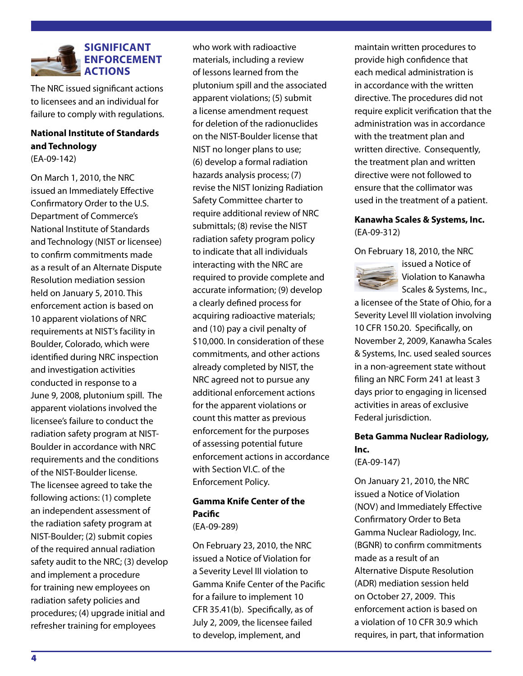

The NRC issued significant actions to licensees and an individual for failure to comply with regulations.

#### **National Institute of Standards and Technology**

(EA-09-142)

On March 1, 2010, the NRC issued an Immediately Effective Confirmatory Order to the U.S. Department of Commerce's National Institute of Standards and Technology (NIST or licensee) to confirm commitments made as a result of an Alternate Dispute Resolution mediation session held on January 5, 2010. This enforcement action is based on 10 apparent violations of NRC requirements at NIST's facility in Boulder, Colorado, which were identified during NRC inspection and investigation activities conducted in response to a June 9, 2008, plutonium spill. The apparent violations involved the licensee's failure to conduct the radiation safety program at NIST-Boulder in accordance with NRC requirements and the conditions of the NIST-Boulder license. The licensee agreed to take the following actions: (1) complete an independent assessment of the radiation safety program at NIST-Boulder; (2) submit copies of the required annual radiation safety audit to the NRC; (3) develop and implement a procedure for training new employees on radiation safety policies and procedures; (4) upgrade initial and refresher training for employees

who work with radioactive materials, including a review of lessons learned from the plutonium spill and the associated apparent violations; (5) submit a license amendment request for deletion of the radionuclides on the NIST-Boulder license that NIST no longer plans to use; (6) develop a formal radiation hazards analysis process; (7) revise the NIST Ionizing Radiation Safety Committee charter to require additional review of NRC submittals; (8) revise the NIST radiation safety program policy to indicate that all individuals interacting with the NRC are required to provide complete and accurate information; (9) develop a clearly defined process for acquiring radioactive materials; and (10) pay a civil penalty of \$10,000. In consideration of these commitments, and other actions already completed by NIST, the NRC agreed not to pursue any additional enforcement actions for the apparent violations or count this matter as previous enforcement for the purposes of assessing potential future enforcement actions in accordance with Section VI.C. of the Enforcement Policy.

#### **Gamma Knife Center of the Pacific**

(EA-09-289)

On February 23, 2010, the NRC issued a Notice of Violation for a Severity Level III violation to Gamma Knife Center of the Pacific for a failure to implement 10 CFR 35.41(b). Specifically, as of July 2, 2009, the licensee failed to develop, implement, and

maintain written procedures to provide high confidence that each medical administration is in accordance with the written directive. The procedures did not require explicit verification that the administration was in accordance with the treatment plan and written directive. Consequently, the treatment plan and written directive were not followed to ensure that the collimator was used in the treatment of a patient.

#### **Kanawha Scales & Systems, Inc.**  (EA-09-312)

On February 18, 2010, the NRC



issued a Notice of Violation to Kanawha Scales & Systems, Inc.,

a licensee of the State of Ohio, for a Severity Level III violation involving 10 CFR 150.20. Specifically, on November 2, 2009, Kanawha Scales & Systems, Inc. used sealed sources in a non-agreement state without filing an NRC Form 241 at least 3 days prior to engaging in licensed activities in areas of exclusive Federal jurisdiction.

# **Beta Gamma Nuclear Radiology, Inc.**

(EA-09-147)

On January 21, 2010, the NRC issued a Notice of Violation (NOV) and Immediately Effective Confirmatory Order to Beta Gamma Nuclear Radiology, Inc. (BGNR) to confirm commitments made as a result of an Alternative Dispute Resolution (ADR) mediation session held on October 27, 2009. This enforcement action is based on a violation of 10 CFR 30.9 which requires, in part, that information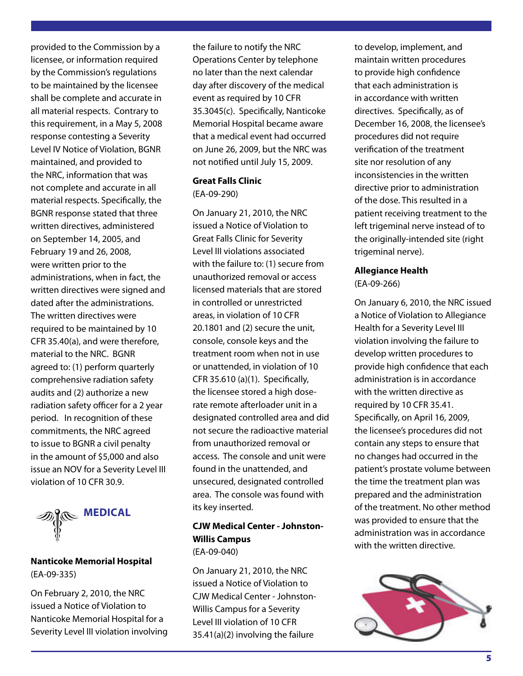provided to the Commission by a licensee, or information required by the Commission's regulations to be maintained by the licensee shall be complete and accurate in all material respects. Contrary to this requirement, in a May 5, 2008 response contesting a Severity Level IV Notice of Violation, BGNR maintained, and provided to the NRC, information that was not complete and accurate in all material respects. Specifically, the BGNR response stated that three written directives, administered on September 14, 2005, and February 19 and 26, 2008, were written prior to the administrations, when in fact, the written directives were signed and dated after the administrations. The written directives were required to be maintained by 10 CFR 35.40(a), and were therefore, material to the NRC. BGNR agreed to: (1) perform quarterly comprehensive radiation safety audits and (2) authorize a new radiation safety officer for a 2 year period. In recognition of these commitments, the NRC agreed to issue to BGNR a civil penalty in the amount of \$5,000 and also issue an NOV for a Severity Level III violation of 10 CFR 30.9.



#### **Nanticoke Memorial Hospital**  (EA-09-335)

On February 2, 2010, the NRC issued a Notice of Violation to Nanticoke Memorial Hospital for a Severity Level III violation involving the failure to notify the NRC Operations Center by telephone no later than the next calendar day after discovery of the medical event as required by 10 CFR 35.3045(c). Specifically, Nanticoke Memorial Hospital became aware that a medical event had occurred on June 26, 2009, but the NRC was not notified until July 15, 2009.

#### **Great Falls Clinic** (EA-09-290)

On January 21, 2010, the NRC issued a Notice of Violation to Great Falls Clinic for Severity Level III violations associated with the failure to: (1) secure from unauthorized removal or access licensed materials that are stored in controlled or unrestricted areas, in violation of 10 CFR 20.1801 and (2) secure the unit, console, console keys and the treatment room when not in use or unattended, in violation of 10 CFR 35.610 (a)(1). Specifically, the licensee stored a high doserate remote afterloader unit in a designated controlled area and did not secure the radioactive material from unauthorized removal or access. The console and unit were found in the unattended, and unsecured, designated controlled area. The console was found with its key inserted.

### **CJW Medical Center - Johnston-Willis Campus**

(EA-09-040)

On January 21, 2010, the NRC issued a Notice of Violation to CJW Medical Center - Johnston-Willis Campus for a Severity Level III violation of 10 CFR 35.41(a)(2) involving the failure

to develop, implement, and maintain written procedures to provide high confidence that each administration is in accordance with written directives. Specifically, as of December 16, 2008, the licensee's procedures did not require verification of the treatment site nor resolution of any inconsistencies in the written directive prior to administration of the dose. This resulted in a patient receiving treatment to the left trigeminal nerve instead of to the originally-intended site (right trigeminal nerve).

## **Allegiance Health**

(EA-09-266)

On January 6, 2010, the NRC issued a Notice of Violation to Allegiance Health for a Severity Level III violation involving the failure to develop written procedures to provide high confidence that each administration is in accordance with the written directive as required by 10 CFR 35.41. Specifically, on April 16, 2009, the licensee's procedures did not contain any steps to ensure that no changes had occurred in the patient's prostate volume between the time the treatment plan was prepared and the administration of the treatment. No other method was provided to ensure that the administration was in accordance with the written directive.

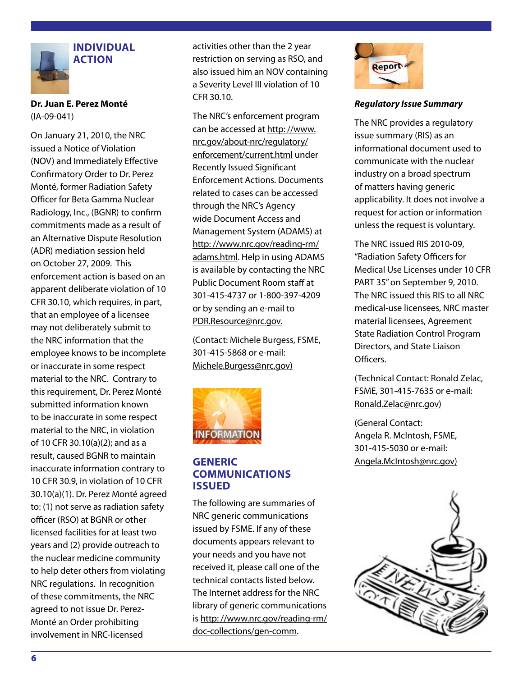

#### **INDIVIDUAL ACTION**

**Dr. Juan E. Perez Monté**  (IA-09-041)

On January 21, 2010, the NRC issued a Notice of Violation (NOV) and Immediately Effective Confirmatory Order to Dr. Perez Monté, former Radiation Safety Officer for Beta Gamma Nuclear Radiology, Inc., (BGNR) to confirm commitments made as a result of an Alternative Dispute Resolution (ADR) mediation session held on October 27, 2009. This enforcement action is based on an apparent deliberate violation of 10 CFR 30.10, which requires, in part, that an employee of a licensee may not deliberately submit to the NRC information that the employee knows to be incomplete or inaccurate in some respect material to the NRC. Contrary to this requirement, Dr. Perez Monté submitted information known to be inaccurate in some respect material to the NRC, in violation of 10 CFR 30.10(a)(2); and as a result, caused BGNR to maintain inaccurate information contrary to 10 CFR 30.9, in violation of 10 CFR 30.10(a)(1). Dr. Perez Monté agreed to: (1) not serve as radiation safety officer (RSO) at BGNR or other licensed facilities for at least two years and (2) provide outreach to the nuclear medicine community to help deter others from violating NRC regulations. In recognition of these commitments, the NRC agreed to not issue Dr. Perez-Monté an Order prohibiting involvement in NRC-licensed

activities other than the 2 year restriction on serving as RSO, and also issued him an NOV containing a Severity Level III violation of 10 CFR 30.10.

The NRC's enforcement program can be accessed at http: //www. nrc.gov/about-nrc/regulatory/ enforcement/current.html under Recently Issued Significant Enforcement Actions. Documents related to cases can be accessed through the NRC's Agency wide Document Access and Management System (ADAMS) at http: //www.nrc.gov/reading-rm/ adams.html. Help in using ADAMS is available by contacting the NRC Public Document Room staff at 301-415-4737 or 1-800-397-4209 or by sending an e-mail to PDR.Resource@nrc.gov.

(Contact: Michele Burgess, FSME, 301-415-5868 or e-mail: Michele.Burgess@nrc.gov)



#### **GENERIC COMMUNICATIONS ISSUED**

The following are summaries of NRC generic communications issued by FSME. If any of these documents appears relevant to your needs and you have not received it, please call one of the technical contacts listed below. The Internet address for the NRC library of generic communications is http: //www.nrc.gov/reading-rm/ doc-collections/gen-comm.



#### *Regulatory Issue Summary*

The NRC provides a regulatory issue summary (RIS) as an informational document used to communicate with the nuclear industry on a broad spectrum of matters having generic applicability. It does not involve a request for action or information unless the request is voluntary.

The NRC issued RIS 2010-09, "Radiation Safety Officers for Medical Use Licenses under 10 CFR PART 35" on September 9, 2010. The NRC issued this RIS to all NRC medical-use licensees, NRC master material licensees, Agreement State Radiation Control Program Directors, and State Liaison Officers.

(Technical Contact: Ronald Zelac, FSME, 301-415-7635 or e-mail: Ronald.Zelac@nrc.gov)

(General Contact: Angela R. McIntosh, FSME, 301-415-5030 or e-mail: Angela.McIntosh@nrc.gov)

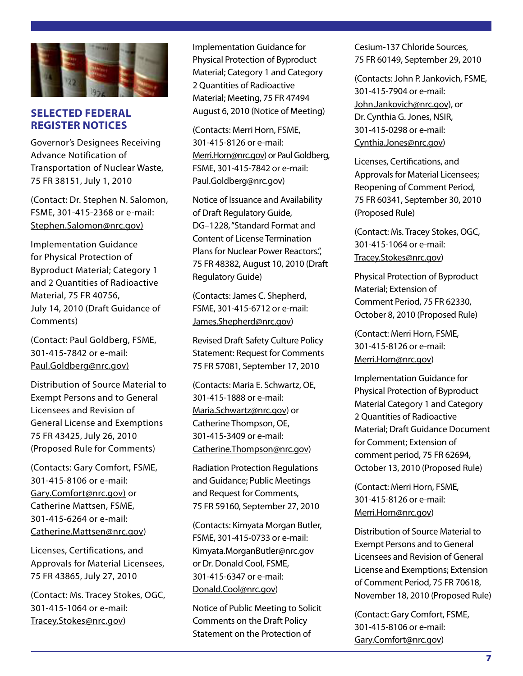

#### **SELECTED FEDERAL REGISTER NOTICES**

Governor's Designees Receiving Advance Notification of Transportation of Nuclear Waste, 75 FR 38151, July 1, 2010

(Contact: Dr. Stephen N. Salomon, FSME, 301-415-2368 or e-mail: Stephen.Salomon@nrc.gov)

Implementation Guidance for Physical Protection of Byproduct Material; Category 1 and 2 Quantities of Radioactive Material, 75 FR 40756, July 14, 2010 (Draft Guidance of Comments)

(Contact: Paul Goldberg, FSME, 301-415-7842 or e-mail: Paul.Goldberg@nrc.gov)

Distribution of Source Material to Exempt Persons and to General Licensees and Revision of General License and Exemptions 75 FR 43425, July 26, 2010 (Proposed Rule for Comments)

(Contacts: Gary Comfort, FSME, 301-415-8106 or e-mail: Gary.Comfort@nrc.gov) or Catherine Mattsen, FSME, 301-415-6264 or e-mail: Catherine.Mattsen@nrc.gov)

Licenses, Certifications, and Approvals for Material Licensees, 75 FR 43865, July 27, 2010

(Contact: Ms. Tracey Stokes, OGC, 301-415-1064 or e-mail: Tracey.Stokes@nrc.gov)

Implementation Guidance for Physical Protection of Byproduct Material; Category 1 and Category 2 Quantities of Radioactive Material; Meeting, 75 FR 47494 August 6, 2010 (Notice of Meeting)

(Contacts: Merri Horn, FSME, 301-415-8126 or e-mail: Merri.Horn@nrc.gov) or Paul Goldberg, FSME, 301-415-7842 or e-mail: Paul.Goldberg@nrc.gov)

Notice of Issuance and Availability of Draft Regulatory Guide, DG-1228, "Standard Format and Content of License Termination Plans for Nuclear Power Reactors.'', 75 FR 48382, August 10, 2010 (Draft Regulatory Guide)

(Contacts: James C. Shepherd, FSME, 301-415-6712 or e-mail: James.Shepherd@nrc.gov)

Revised Draft Safety Culture Policy Statement: Request for Comments 75 FR 57081, September 17, 2010

(Contacts: Maria E. Schwartz, OE, 301-415-1888 or e-mail: Maria.Schwartz@nrc.gov) or Catherine Thompson, OE, 301-415-3409 or e-mail: Catherine.Thompson@nrc.gov)

Radiation Protection Regulations and Guidance; Public Meetings and Request for Comments, 75 FR 59160, September 27, 2010

(Contacts: Kimyata Morgan Butler, FSME, 301-415-0733 or e-mail: Kimyata.MorganButler@nrc.gov or Dr. Donald Cool, FSME, 301-415-6347 or e-mail: Donald.Cool@nrc.gov)

Notice of Public Meeting to Solicit Comments on the Draft Policy Statement on the Protection of

Cesium-137 Chloride Sources, 75 FR 60149, September 29, 2010

(Contacts: John P. Jankovich, FSME, 301-415-7904 or e-mail: John.Jankovich@nrc.gov), or Dr. Cynthia G. Jones, NSIR, 301-415-0298 or e-mail: Cynthia.Jones@nrc.gov)

Licenses, Certifications, and Approvals for Material Licensees; Reopening of Comment Period, 75 FR 60341, September 30, 2010 (Proposed Rule)

(Contact: Ms. Tracey Stokes, OGC, 301-415-1064 or e-mail: Tracey.Stokes@nrc.gov)

Physical Protection of Byproduct Material; Extension of Comment Period, 75 FR 62330, October 8, 2010 (Proposed Rule)

(Contact: Merri Horn, FSME, 301-415-8126 or e-mail: Merri.Horn@nrc.gov)

Implementation Guidance for Physical Protection of Byproduct Material Category 1 and Category 2 Quantities of Radioactive Material; Draft Guidance Document for Comment; Extension of comment period, 75 FR 62694, October 13, 2010 (Proposed Rule)

(Contact: Merri Horn, FSME, 301-415-8126 or e-mail: Merri.Horn@nrc.gov)

Distribution of Source Material to Exempt Persons and to General Licensees and Revision of General License and Exemptions; Extension of Comment Period, 75 FR 70618, November 18, 2010 (Proposed Rule)

(Contact: Gary Comfort, FSME, 301-415-8106 or e-mail: Gary.Comfort@nrc.gov)